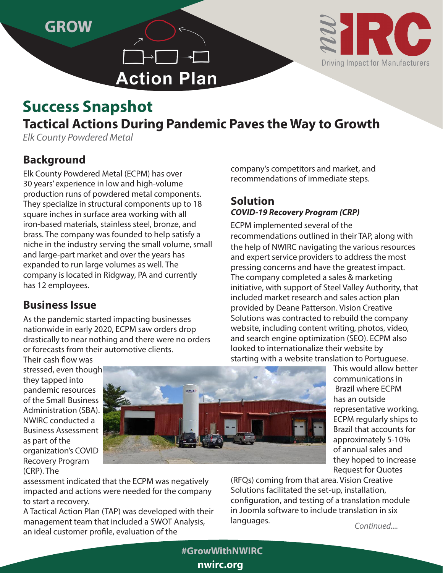**GROW**



# **Action Plan**

## **Tactical Actions During Pandemic Paves the Way to Growth Success Snapshot**

*Elk County Powdered Metal*

### **Background**

Elk County Powdered Metal (ECPM) has over 30 years' experience in low and high-volume production runs of powdered metal components. They specialize in structural components up to 18 square inches in surface area working with all iron-based materials, stainless steel, bronze, and brass. The company was founded to help satisfy a niche in the industry serving the small volume, small and large-part market and over the years has expanded to run large volumes as well. The company is located in Ridgway, PA and currently has 12 employees.

#### **Business Issue**

As the pandemic started impacting businesses nationwide in early 2020, ECPM saw orders drop drastically to near nothing and there were no orders or forecasts from their automotive clients.

company's competitors and market, and recommendations of immediate steps.

#### **Solution** *COVID-19 Recovery Program (CRP)*

ECPM implemented several of the recommendations outlined in their TAP, along with the help of NWIRC navigating the various resources and expert service providers to address the most pressing concerns and have the greatest impact. The company completed a sales & marketing initiative, with support of Steel Valley Authority, that included market research and sales action plan provided by Deane Patterson. Vision Creative Solutions was contracted to rebuild the company website, including content writing, photos, video, and search engine optimization (SEO). ECPM also looked to internationalize their website by starting with a website translation to Portuguese.

Their cash flow was stressed, even though they tapped into pandemic resources of the Small Business Administration (SBA). NWIRC conducted a Business Assessment as part of the organization's COVID Recovery Program (CRP). The



assessment indicated that the ECPM was negatively impacted and actions were needed for the company to start a recovery.

A Tactical Action Plan (TAP) was developed with their management team that included a SWOT Analysis, an ideal customer profile, evaluation of the

This would allow better communications in Brazil where ECPM has an outside representative working. ECPM regularly ships to Brazil that accounts for approximately 5-10% of annual sales and they hoped to increase Request for Quotes

(RFQs) coming from that area. Vision Creative Solutions facilitated the set-up, installation, configuration, and testing of a translation module in Joomla software to include translation in six languages. *Continued....*

**nwirc.org #GrowWithNWIRC**